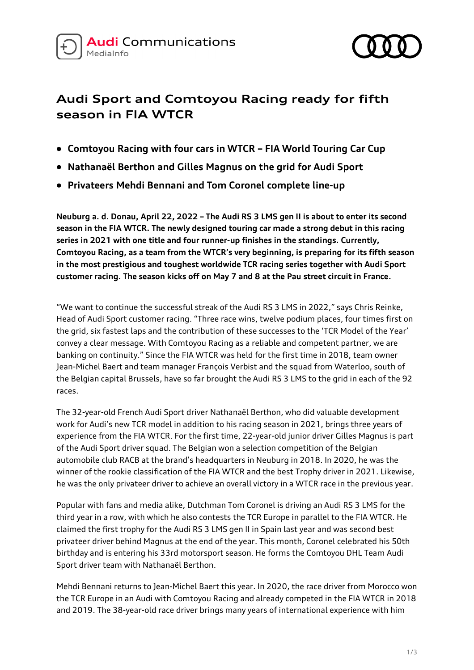



## **Audi Sport and Comtoyou Racing ready for fifth season in FIA WTCR**

- **Comtoyou Racing with four cars in WTCR – FIA World Touring Car Cup**
- **Nathanaël Berthon and Gilles Magnus on the grid for Audi Sport**
- **Privateers Mehdi Bennani and Tom Coronel complete line-up**

**Neuburg a. d. Donau, April 22, 2022 – The Audi RS 3 LMS gen II is about to enter its second season in the FIA WTCR. The newly designed touring car made a strong debut in this racing series in 2021 with one title and four runner-up finishes in the standings. Currently, Comtoyou Racing, as a team from the WTCR's very beginning, is preparing for its fifth season in the most prestigious and toughest worldwide TCR racing series together with Audi Sport customer racing. The season kicks off on May 7 and 8 at the Pau street circuit in France.**

"We want to continue the successful streak of the Audi RS 3 LMS in 2022," says Chris Reinke, Head of Audi Sport customer racing. "Three race wins, twelve podium places, four times first on the grid, six fastest laps and the contribution of these successes to the 'TCR Model of the Year' convey a clear message. With Comtoyou Racing as a reliable and competent partner, we are banking on continuity." Since the FIA WTCR was held for the first time in 2018, team owner Jean-Michel Baert and team manager François Verbist and the squad from Waterloo, south of the Belgian capital Brussels, have so far brought the Audi RS 3 LMS to the grid in each of the 92 races.

The 32-year-old French Audi Sport driver Nathanaël Berthon, who did valuable development work for Audi's new TCR model in addition to his racing season in 2021, brings three years of experience from the FIA WTCR. For the first time, 22-year-old junior driver Gilles Magnus is part of the Audi Sport driver squad. The Belgian won a selection competition of the Belgian automobile club RACB at the brand's headquarters in Neuburg in 2018. In 2020, he was the winner of the rookie classification of the FIA WTCR and the best Trophy driver in 2021. Likewise, he was the only privateer driver to achieve an overall victory in a WTCR race in the previous year.

Popular with fans and media alike, Dutchman Tom Coronel is driving an Audi RS 3 LMS for the third year in a row, with which he also contests the TCR Europe in parallel to the FIA WTCR. He claimed the first trophy for the Audi RS 3 LMS gen II in Spain last year and was second best privateer driver behind Magnus at the end of the year. This month, Coronel celebrated his 50th birthday and is entering his 33rd motorsport season. He forms the Comtoyou DHL Team Audi Sport driver team with Nathanaël Berthon.

Mehdi Bennani returns to Jean-Michel Baert this year. In 2020, the race driver from Morocco won the TCR Europe in an Audi with Comtoyou Racing and already competed in the FIA WTCR in 2018 and 2019. The 38-year-old race driver brings many years of international experience with him